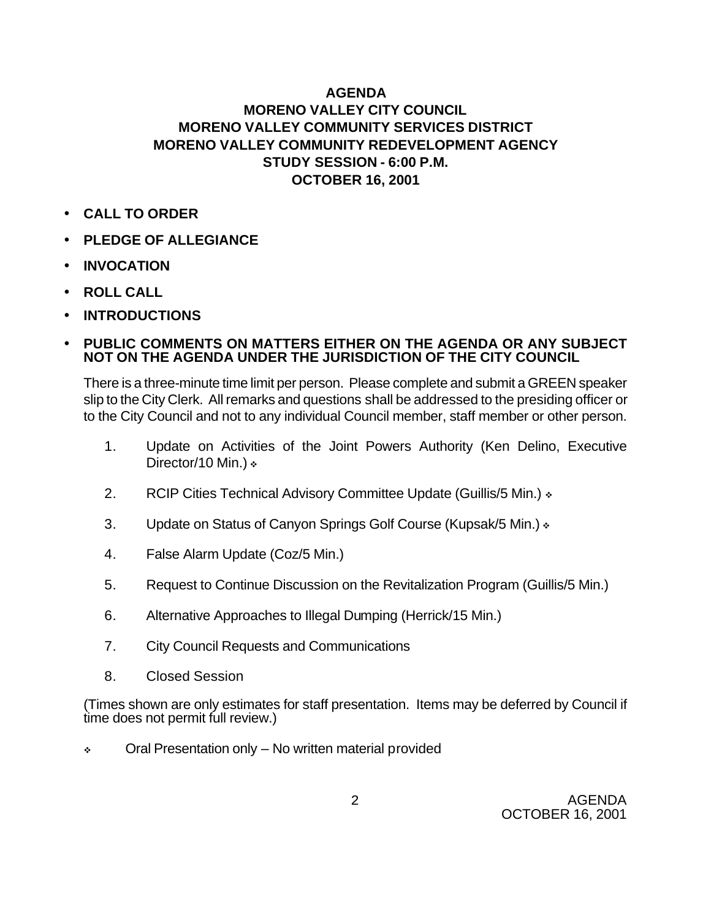# **AGENDA MORENO VALLEY CITY COUNCIL MORENO VALLEY COMMUNITY SERVICES DISTRICT MORENO VALLEY COMMUNITY REDEVELOPMENT AGENCY STUDY SESSION - 6:00 P.M. OCTOBER 16, 2001**

- **CALL TO ORDER**
- **PLEDGE OF ALLEGIANCE**
- **INVOCATION**
- **ROLL CALL**
- **INTRODUCTIONS**

### • **PUBLIC COMMENTS ON MATTERS EITHER ON THE AGENDA OR ANY SUBJECT NOT ON THE AGENDA UNDER THE JURISDICTION OF THE CITY COUNCIL**

There is a three-minute time limit per person. Please complete and submit a GREEN speaker slip to the City Clerk. All remarks and questions shall be addressed to the presiding officer or to the City Council and not to any individual Council member, staff member or other person.

- 1. Update on Activities of the Joint Powers Authority (Ken Delino, Executive Director/10 Min.)  $\ast$
- 2. RCIP Cities Technical Advisory Committee Update (Guillis/5 Min.) »
- 3. Update on Status of Canyon Springs Golf Course (Kupsak/5 Min.)  $\cdot$
- 4. False Alarm Update (Coz/5 Min.)
- 5. Request to Continue Discussion on the Revitalization Program (Guillis/5 Min.)
- 6. Alternative Approaches to Illegal Dumping (Herrick/15 Min.)
- 7. City Council Requests and Communications
- 8. Closed Session

(Times shown are only estimates for staff presentation. Items may be deferred by Council if time does not permit full review.)

 $\div$  Oral Presentation only – No written material provided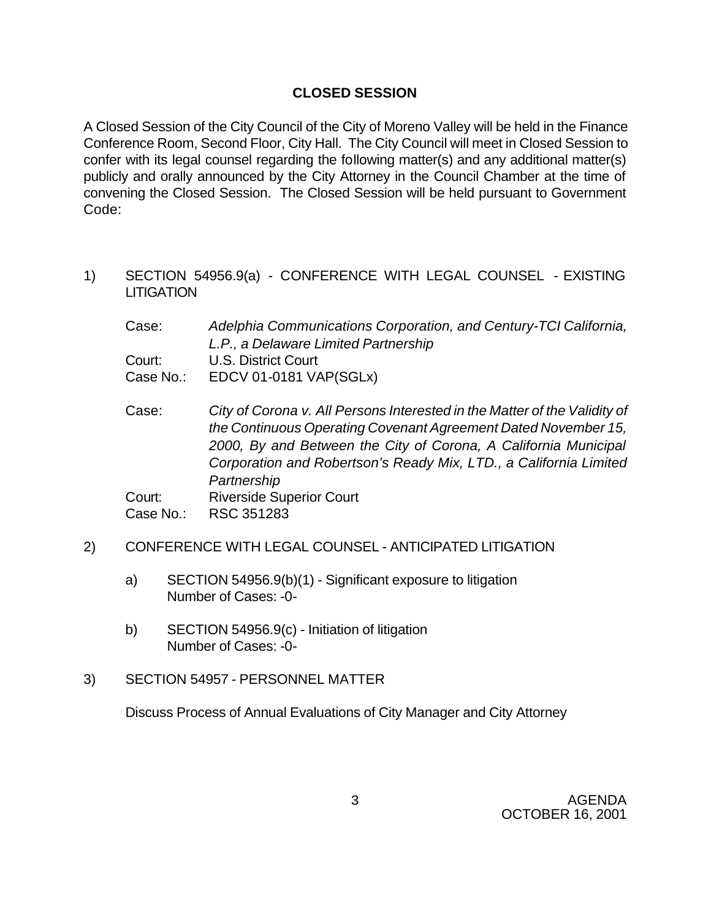# **CLOSED SESSION**

A Closed Session of the City Council of the City of Moreno Valley will be held in the Finance Conference Room, Second Floor, City Hall. The City Council will meet in Closed Session to confer with its legal counsel regarding the following matter(s) and any additional matter(s) publicly and orally announced by the City Attorney in the Council Chamber at the time of convening the Closed Session. The Closed Session will be held pursuant to Government Code:

- 1) SECTION 54956.9(a) CONFERENCE WITH LEGAL COUNSEL EXISTING LITIGATION
	- Case: *Adelphia Communications Corporation, and Century-TCI California, L.P., a Delaware Limited Partnership* Court: U.S. District Court Case No.: EDCV 01-0181 VAP(SGLx)
	- Case: *City of Corona v. All Persons Interested in the Matter of the Validity of the Continuous Operating Covenant Agreement Dated November 15, 2000, By and Between the City of Corona, A California Municipal Corporation and Robertson's Ready Mix, LTD., a California Limited Partnership* Court: Riverside Superior Court

Case No.: RSC 351283

## 2) CONFERENCE WITH LEGAL COUNSEL - ANTICIPATED LITIGATION

- a) SECTION 54956.9(b)(1) Significant exposure to litigation Number of Cases: -0-
- b) SECTION 54956.9(c) Initiation of litigation Number of Cases: -0-

## 3) SECTION 54957 - PERSONNEL MATTER

Discuss Process of Annual Evaluations of City Manager and City Attorney